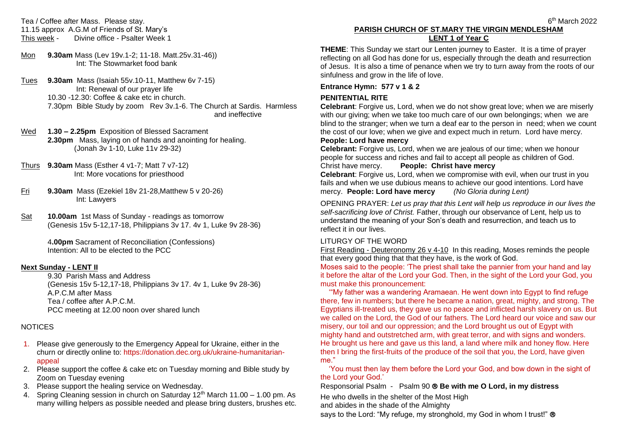Tea / Coffee after Mass. Please stay. 11.15 approx A.G.M of Friends of St. Mary's<br>This week - Divine office - Psalter Week Divine office - Psalter Week 1

- Mon **9.30am** Mass (Lev 19v.1-2; 11-18. Matt.25v.31-46)) Int: The Stowmarket food bank
- Tues **9.30am** Mass (Isaiah 55v.10-11, Matthew 6v 7-15) Int: Renewal of our prayer life 10.30 -12.30: Coffee & cake etc in church. 7.30pm Bible Study by zoom Rev 3v.1-6. The Church at Sardis. Harmless and ineffective
- Wed **1.30 – 2.25pm** Exposition of Blessed Sacrament **2.30pm** Mass, laying on of hands and anointing for healing. (Jonah 3v 1-10, Luke 11v 29-32)
- Thurs **9.30am** Mass (Esther 4 v1-7; Matt 7 v7-12) Int: More vocations for priesthood
- Fri **9.30am** Mass (Ezekiel 18v 21-28,Matthew 5 v 20-26) Int: Lawyers
- Sat **10.00am** 1st Mass of Sunday readings as tomorrow (Genesis 15v 5-12,17-18, Philippians 3v 17. 4v 1, Luke 9v 28-36)

4**.00pm** Sacrament of Reconciliation (Confessions) Intention: All to be elected to the PCC

### **Next Sunday - LENT II**

9.30 Parish Mass and Address (Genesis 15v 5-12,17-18, Philippians 3v 17. 4v 1, Luke 9v 28-36) A.P.C.M after Mass Tea / coffee after A.P.C.M. PCC meeting at 12.00 noon over shared lunch

### **NOTICES**

- 1. Please give generously to the Emergency Appeal for Ukraine, either in the churn or directly online to: https://donation.dec.org.uk/ukraine-humanitarianappeal
- 2. Please support the coffee & cake etc on Tuesday morning and Bible study by Zoom on Tuesday evening
- 3. Please support the healing service on Wednesday.
- 4. Spring Cleaning session in church on Saturday 12<sup>th</sup> March 11.00 1.00 pm. As many willing helpers as possible needed and please bring dusters, brushes etc.

#### $\sim$  6 **PARISH CHURCH OF ST.MARY THE VIRGIN MENDLESHAM LENT 1 of Year C**

**THEME**: This Sunday we start our Lenten journey to Easter. It is a time of prayer reflecting on all God has done for us, especially through the death and resurrection of Jesus. It is also a time of penance when we try to turn away from the roots of our sinfulness and grow in the life of love.

### **Entrance Hymn: 577 v 1 & 2**

# **PENITENTIAL RITE**

**Celebrant**: Forgive us, Lord, when we do not show great love; when we are miserly with our giving; when we take too much care of our own belongings; when we are blind to the stranger; when we turn a deaf ear to the person in need; when we count the cost of our love; when we give and expect much in return. Lord have mercy. **People: Lord have mercy**

**Celebrant:** Forgive us, Lord, when we are jealous of our time; when we honour people for success and riches and fail to accept all people as children of God. Christ have mercy. **People: Christ have mercy**

**Celebrant**: Forgive us, Lord, when we compromise with evil, when our trust in you fails and when we use dubious means to achieve our good intentions. Lord have mercy. **People: Lord have mercy** *(No Gloria during Lent)*

OPENING PRAYER: *Let us pray that this Lent will help us reproduce in our lives the self-sacrificing love of Christ.* Father, through our observance of Lent, help us to understand the meaning of your Son's death and resurrection, and teach us to reflect it in our lives.

# LITURGY OF THE WORD

First Reading - Deuteronomy 26 v 4-10 In this reading, Moses reminds the people that every good thing that that they have, is the work of God.

Moses said to the people: 'The priest shall take the pannier from your hand and lay it before the altar of the Lord your God. Then, in the sight of the Lord your God, you must make this pronouncement:

 '"My father was a wandering Aramaean. He went down into Egypt to find refuge there, few in numbers; but there he became a nation, great, mighty, and strong. The Egyptians ill-treated us, they gave us no peace and inflicted harsh slavery on us. But we called on the Lord, the God of our fathers. The Lord heard our voice and saw our misery, our toil and our oppression; and the Lord brought us out of Egypt with mighty hand and outstretched arm, with great terror, and with signs and wonders. He brought us here and gave us this land, a land where milk and honey flow. Here then I bring the first-fruits of the produce of the soil that you, the Lord, have given me."

 'You must then lay them before the Lord your God, and bow down in the sight of the Lord your God.'

Responsorial Psalm - Psalm 90 **Be with me O Lord, in my distress**

He who dwells in the shelter of the Most High

and abides in the shade of the Almighty

says to the Lord: "My refuge, my stronghold, my God in whom I trust!" ®